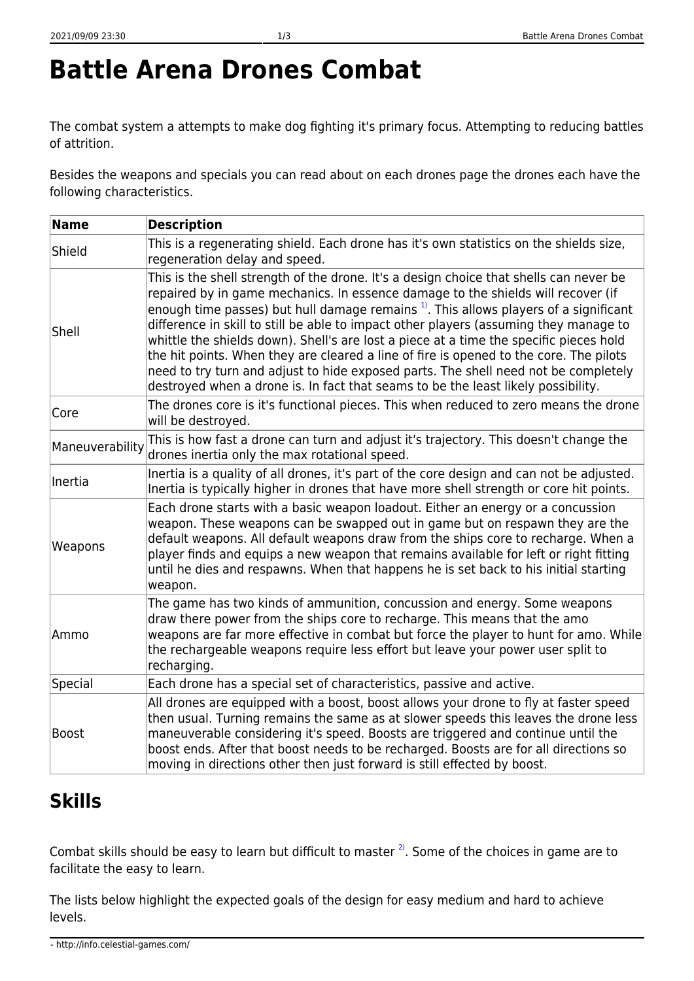# **Battle Arena Drones Combat**

The combat system a attempts to make dog fighting it's primary focus. Attempting to reducing battles of attrition.

Besides the weapons and specials you can read about on each drones page the drones each have the following characteristics.

| <b>Name</b>     | <b>Description</b>                                                                                                                                                                                                                                                                                                                                                                                                                                                                                                                                                                                                                                                                                                                     |
|-----------------|----------------------------------------------------------------------------------------------------------------------------------------------------------------------------------------------------------------------------------------------------------------------------------------------------------------------------------------------------------------------------------------------------------------------------------------------------------------------------------------------------------------------------------------------------------------------------------------------------------------------------------------------------------------------------------------------------------------------------------------|
| Shield          | This is a regenerating shield. Each drone has it's own statistics on the shields size,<br>regeneration delay and speed.                                                                                                                                                                                                                                                                                                                                                                                                                                                                                                                                                                                                                |
| Shell           | This is the shell strength of the drone. It's a design choice that shells can never be<br>repaired by in game mechanics. In essence damage to the shields will recover (if<br>enough time passes) but hull damage remains <sup>1</sup> . This allows players of a significant<br>difference in skill to still be able to impact other players (assuming they manage to<br>whittle the shields down). Shell's are lost a piece at a time the specific pieces hold<br>the hit points. When they are cleared a line of fire is opened to the core. The pilots<br>need to try turn and adjust to hide exposed parts. The shell need not be completely<br>destroyed when a drone is. In fact that seams to be the least likely possibility. |
| Core            | The drones core is it's functional pieces. This when reduced to zero means the drone<br>will be destroyed.                                                                                                                                                                                                                                                                                                                                                                                                                                                                                                                                                                                                                             |
| Maneuverability | This is how fast a drone can turn and adjust it's trajectory. This doesn't change the<br>drones inertia only the max rotational speed.                                                                                                                                                                                                                                                                                                                                                                                                                                                                                                                                                                                                 |
| Inertia         | Inertia is a quality of all drones, it's part of the core design and can not be adjusted.<br>Inertia is typically higher in drones that have more shell strength or core hit points.                                                                                                                                                                                                                                                                                                                                                                                                                                                                                                                                                   |
| Weapons         | Each drone starts with a basic weapon loadout. Either an energy or a concussion<br>weapon. These weapons can be swapped out in game but on respawn they are the<br>default weapons. All default weapons draw from the ships core to recharge. When a<br>player finds and equips a new weapon that remains available for left or right fitting<br>until he dies and respawns. When that happens he is set back to his initial starting<br>weapon.                                                                                                                                                                                                                                                                                       |
| Ammo            | The game has two kinds of ammunition, concussion and energy. Some weapons<br>draw there power from the ships core to recharge. This means that the amo<br>weapons are far more effective in combat but force the player to hunt for amo. While<br>the rechargeable weapons require less effort but leave your power user split to<br>recharging.                                                                                                                                                                                                                                                                                                                                                                                       |
| Special         | Each drone has a special set of characteristics, passive and active.                                                                                                                                                                                                                                                                                                                                                                                                                                                                                                                                                                                                                                                                   |
| <b>Boost</b>    | All drones are equipped with a boost, boost allows your drone to fly at faster speed<br>then usual. Turning remains the same as at slower speeds this leaves the drone less<br>maneuverable considering it's speed. Boosts are triggered and continue until the<br>boost ends. After that boost needs to be recharged. Boosts are for all directions so<br>moving in directions other then just forward is still effected by boost.                                                                                                                                                                                                                                                                                                    |

## **Skills**

Combat skills should be easy to learn but difficult to master  $2^{\circ}$ . Some of the choices in game are to facilitate the easy to learn.

The lists below highlight the expected goals of the design for easy medium and hard to achieve levels.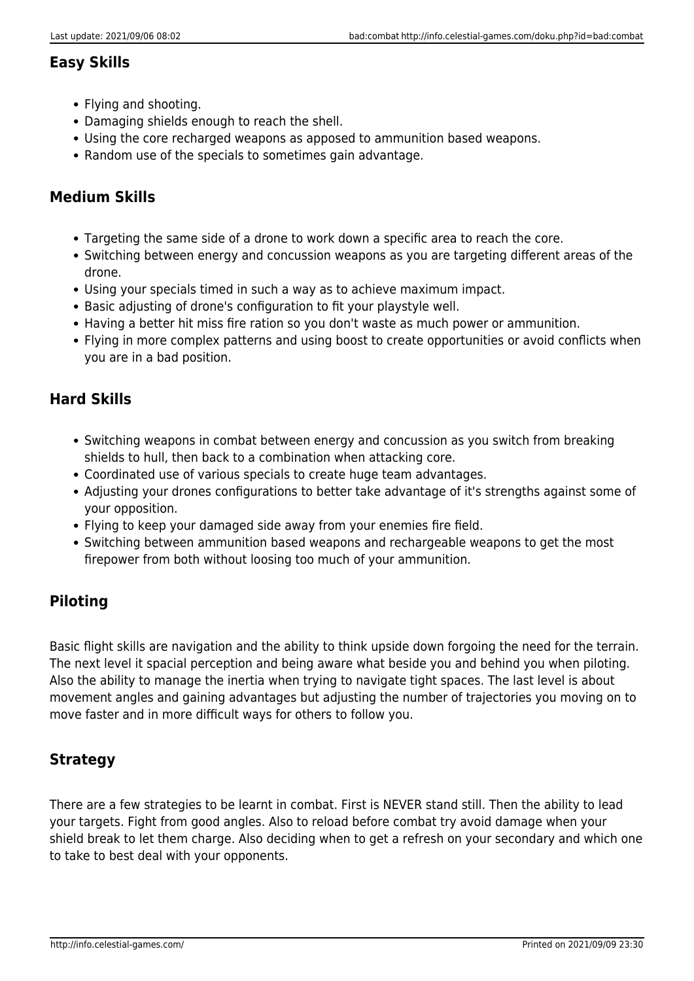#### **Easy Skills**

- Flying and shooting.
- Damaging shields enough to reach the shell.
- Using the core recharged weapons as apposed to ammunition based weapons.
- Random use of the specials to sometimes gain advantage.

#### **Medium Skills**

- Targeting the same side of a drone to work down a specific area to reach the core.
- Switching between energy and concussion weapons as you are targeting different areas of the drone.
- Using your specials timed in such a way as to achieve maximum impact.
- Basic adjusting of drone's configuration to fit your playstyle well.
- Having a better hit miss fire ration so you don't waste as much power or ammunition.
- Flying in more complex patterns and using boost to create opportunities or avoid conflicts when you are in a bad position.

#### **Hard Skills**

- Switching weapons in combat between energy and concussion as you switch from breaking shields to hull, then back to a combination when attacking core.
- Coordinated use of various specials to create huge team advantages.
- Adjusting your drones configurations to better take advantage of it's strengths against some of your opposition.
- Flying to keep your damaged side away from your enemies fire field.
- Switching between ammunition based weapons and rechargeable weapons to get the most firepower from both without loosing too much of your ammunition.

#### **Piloting**

Basic flight skills are navigation and the ability to think upside down forgoing the need for the terrain. The next level it spacial perception and being aware what beside you and behind you when piloting. Also the ability to manage the inertia when trying to navigate tight spaces. The last level is about movement angles and gaining advantages but adjusting the number of trajectories you moving on to move faster and in more difficult ways for others to follow you.

#### **Strategy**

There are a few strategies to be learnt in combat. First is NEVER stand still. Then the ability to lead your targets. Fight from good angles. Also to reload before combat try avoid damage when your shield break to let them charge. Also deciding when to get a refresh on your secondary and which one to take to best deal with your opponents.